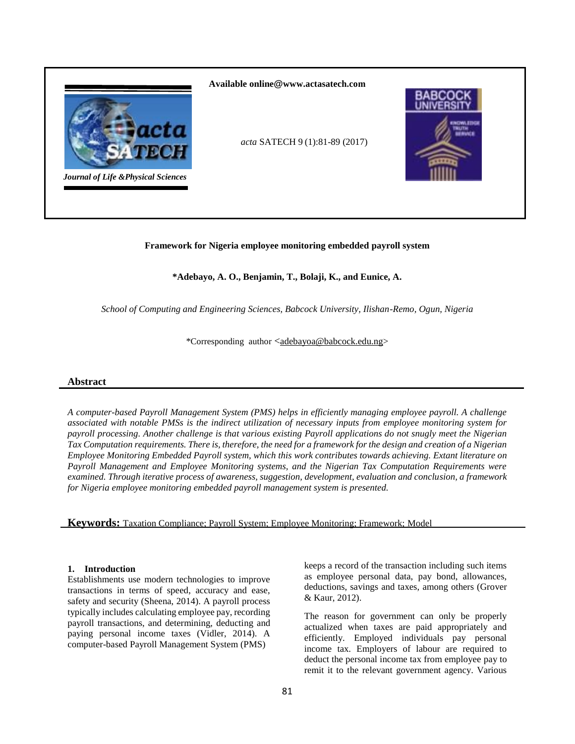

# **Framework for Nigeria employee monitoring embedded payroll system**

# **\*Adebayo, A. O., Benjamin, T., Bolaji, K., and Eunice, A.**

*School of Computing and Engineering Sciences, Babcock University, Ilishan-Remo, Ogun, Nigeria*

\*Corresponding author <[adebayoa@babcock.edu.ng>](mailto:adebayoa@babcock.edu.ng)

#### **Abstract**

*A computer-based Payroll Management System (PMS) helps in efficiently managing employee payroll. A challenge associated with notable PMSs is the indirect utilization of necessary inputs from employee monitoring system for payroll processing. Another challenge is that various existing Payroll applications do not snugly meet the Nigerian Tax Computation requirements. There is, therefore, the need for a framework for the design and creation of a Nigerian Employee Monitoring Embedded Payroll system, which this work contributes towards achieving. Extant literature on Payroll Management and Employee Monitoring systems, and the Nigerian Tax Computation Requirements were examined. Through iterative process of awareness, suggestion, development, evaluation and conclusion, a framework for Nigeria employee monitoring embedded payroll management system is presented.* 

**Keywords:** Taxation Compliance; Payroll System; Employee Monitoring; Framework; Model

### **1. Introduction**

Establishments use modern technologies to improve transactions in terms of speed, accuracy and ease, safety and security (Sheena, 2014). A payroll process typically includes calculating employee pay, recording payroll transactions, and determining, deducting and paying personal income taxes (Vidler, 2014). A computer-based Payroll Management System (PMS)

keeps a record of the transaction including such items as employee personal data, pay bond, allowances, deductions, savings and taxes, among others (Grover & Kaur, 2012).

The reason for government can only be properly actualized when taxes are paid appropriately and efficiently. Employed individuals pay personal income tax. Employers of labour are required to deduct the personal income tax from employee pay to remit it to the relevant government agency. Various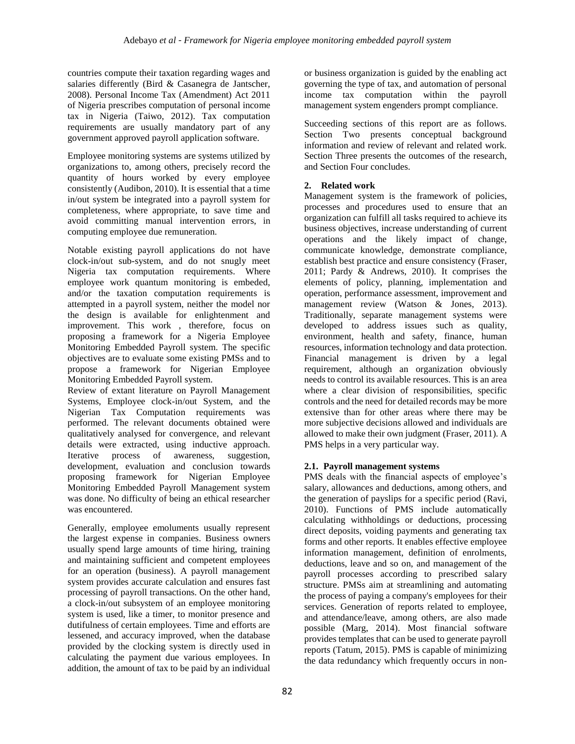countries compute their taxation regarding wages and salaries differently (Bird & Casanegra de Jantscher, 2008). Personal Income Tax (Amendment) Act 2011 of Nigeria prescribes computation of personal income tax in Nigeria (Taiwo, 2012). Tax computation requirements are usually mandatory part of any government approved payroll application software.

Employee monitoring systems are systems utilized by organizations to, among others, precisely record the quantity of hours worked by every employee consistently (Audibon, 2010). It is essential that a time in/out system be integrated into a payroll system for completeness, where appropriate, to save time and avoid committing manual intervention errors, in computing employee due remuneration.

Notable existing payroll applications do not have clock-in/out sub-system, and do not snugly meet Nigeria tax computation requirements. Where employee work quantum monitoring is embeded, and/or the taxation computation requirements is attempted in a payroll system, neither the model nor the design is available for enlightenment and improvement. This work , therefore, focus on proposing a framework for a Nigeria Employee Monitoring Embedded Payroll system. The specific objectives are to evaluate some existing PMSs and to propose a framework for Nigerian Employee Monitoring Embedded Payroll system.

Review of extant literature on Payroll Management Systems, Employee clock-in/out System, and the Nigerian Tax Computation requirements was performed. The relevant documents obtained were qualitatively analysed for convergence, and relevant details were extracted, using inductive approach. Iterative process of awareness, suggestion, development, evaluation and conclusion towards proposing framework for Nigerian Employee Monitoring Embedded Payroll Management system was done. No difficulty of being an ethical researcher was encountered.

Generally, employee emoluments usually represent the largest expense in companies. Business owners usually spend large amounts of time hiring, training and maintaining sufficient and competent employees for an operation (business). A payroll management system provides accurate calculation and ensures fast processing of payroll transactions. On the other hand, a clock-in/out subsystem of an employee monitoring system is used, like a timer, to monitor presence and dutifulness of certain employees. Time and efforts are lessened, and accuracy improved, when the database provided by the clocking system is directly used in calculating the payment due various employees. In addition, the amount of tax to be paid by an individual

or business organization is guided by the enabling act governing the type of tax, and automation of personal income tax computation within the payroll management system engenders prompt compliance.

Succeeding sections of this report are as follows. Section Two presents conceptual background information and review of relevant and related work. Section Three presents the outcomes of the research, and Section Four concludes.

# **2. Related work**

Management system is the framework of policies, processes and procedures used to ensure that an organization can fulfill all tasks required to achieve its business objectives, increase understanding of current operations and the likely impact of change, communicate knowledge, demonstrate compliance, establish best practice and ensure consistency (Fraser, 2011; Pardy & Andrews, 2010). It comprises the elements of policy, planning, implementation and operation, performance assessment, improvement and management review (Watson & Jones, 2013). Traditionally, separate management systems were developed to address issues such as quality, environment, health and safety, finance, human resources, information technology and data protection. Financial management is driven by a legal requirement, although an organization obviously needs to control its available resources. This is an area where a clear division of responsibilities, specific controls and the need for detailed records may be more extensive than for other areas where there may be more subjective decisions allowed and individuals are allowed to make their own judgment (Fraser, 2011). A PMS helps in a very particular way.

# **2.1. Payroll management systems**

PMS deals with the financial aspects of employee's salary, allowances and deductions, among others, and the generation of payslips for a specific period (Ravi, 2010). Functions of PMS include automatically calculating withholdings or deductions, processing direct deposits, voiding payments and generating tax forms and other reports. It enables effective employee information management, definition of enrolments, deductions, leave and so on, and management of the payroll processes according to prescribed salary structure. PMSs aim at streamlining and automating the process of paying a company's employees for their services. Generation of reports related to employee, and attendance/leave, among others, are also made possible (Marg, 2014). Most financial software provides templates that can be used to generate payroll reports (Tatum, 2015). PMS is capable of minimizing the data redundancy which frequently occurs in non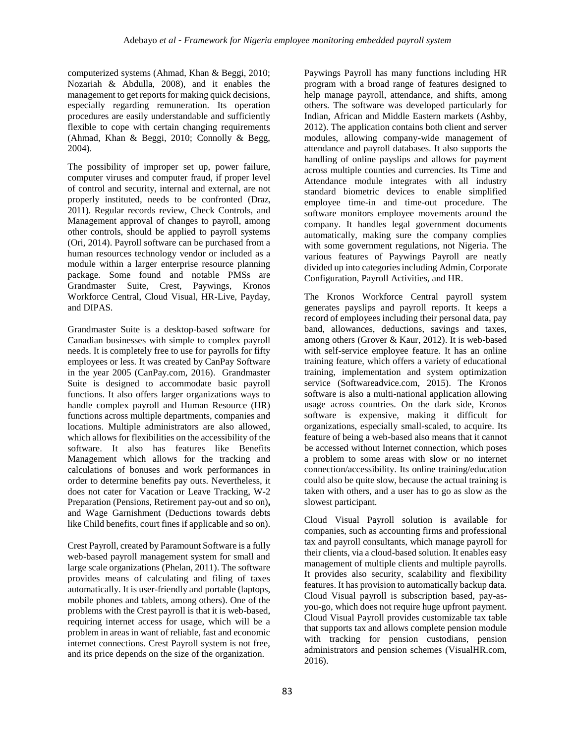computerized systems (Ahmad, Khan & Beggi, 2010; Nozariah & Abdulla, 2008), and it enables the management to get reports for making quick decisions, especially regarding remuneration. Its operation procedures are easily understandable and sufficiently flexible to cope with certain changing requirements (Ahmad, Khan & Beggi, 2010; Connolly & Begg, 2004).

The possibility of improper set up, power failure, computer viruses and computer fraud, if proper level of control and security, internal and external, are not properly instituted, needs to be confronted (Draz, 2011). Regular records review, Check Controls, and Management approval of changes to payroll, among other controls, should be applied to payroll systems (Ori, 2014). Payroll software can be purchased from a human resources technology vendor or included as a module within a larger enterprise resource planning package. Some found and notable PMSs are Grandmaster Suite, Crest, Paywings, Kronos Workforce Central, Cloud Visual, HR-Live, Payday, and DIPAS.

Grandmaster Suite is a desktop-based software for Canadian businesses with simple to complex payroll needs. It is completely free to use for payrolls for fifty employees or less. It was created by CanPay Software in the year 2005 (CanPay.com, 2016). Grandmaster Suite is designed to accommodate basic payroll functions. It also offers larger organizations ways to handle complex payroll and Human Resource (HR) functions across multiple departments, companies and locations. Multiple administrators are also allowed, which allows for flexibilities on the accessibility of the software. It also has features like Benefits Management which allows for the tracking and calculations of bonuses and work performances in order to determine benefits pay outs. Nevertheless, it does not cater for Vacation or Leave Tracking, W-2 Preparation (Pensions, Retirement pay-out and so on)**,** and Wage Garnishment (Deductions towards debts like Child benefits, court fines if applicable and so on).

Crest Payroll, created by Paramount Software is a fully web-based payroll management system for small and large scale organizations (Phelan, 2011). The software provides means of calculating and filing of taxes automatically. It is user-friendly and portable (laptops, mobile phones and tablets, among others). One of the problems with the Crest payroll is that it is web-based, requiring internet access for usage, which will be a problem in areas in want of reliable, fast and economic internet connections. Crest Payroll system is not free, and its price depends on the size of the organization.

Paywings Payroll has many functions including HR program with a broad range of features designed to help manage payroll, attendance, and shifts, among others. The software was developed particularly for Indian, African and Middle Eastern markets (Ashby, 2012). The application contains both client and server modules, allowing company-wide management of attendance and payroll databases. It also supports the handling of online payslips and allows for payment across multiple counties and currencies. Its Time and Attendance module integrates with all industry standard biometric devices to enable simplified employee time-in and time-out procedure. The software monitors employee movements around the company. It handles legal government documents automatically, making sure the company complies with some government regulations, not Nigeria. The various features of Paywings Payroll are neatly divided up into categories including Admin, Corporate Configuration, Payroll Activities, and HR.

The Kronos Workforce Central payroll system generates payslips and payroll reports. It keeps a record of employees including their personal data, pay band, allowances, deductions, savings and taxes, among others (Grover & Kaur, 2012). It is web-based with self-service employee feature. It has an online training feature, which offers a variety of educational training, implementation and system optimization service (Softwareadvice.com, 2015). The Kronos software is also a multi-national application allowing usage across countries. On the dark side, Kronos software is expensive, making it difficult for organizations, especially small-scaled, to acquire. Its feature of being a web-based also means that it cannot be accessed without Internet connection, which poses a problem to some areas with slow or no internet connection/accessibility. Its online training/education could also be quite slow, because the actual training is taken with others, and a user has to go as slow as the slowest participant.

Cloud Visual Payroll solution is available for companies, such as accounting firms and professional tax and payroll consultants, which manage payroll for their clients, via a cloud-based solution. It enables easy management of multiple clients and multiple payrolls. It provides also security, scalability and flexibility features. It has provision to automatically backup data. Cloud Visual payroll is subscription based, pay-asyou-go, which does not require huge upfront payment. Cloud Visual Payroll provides customizable tax table that supports tax and allows complete pension module with tracking for pension custodians, pension administrators and pension schemes (VisualHR.com, 2016).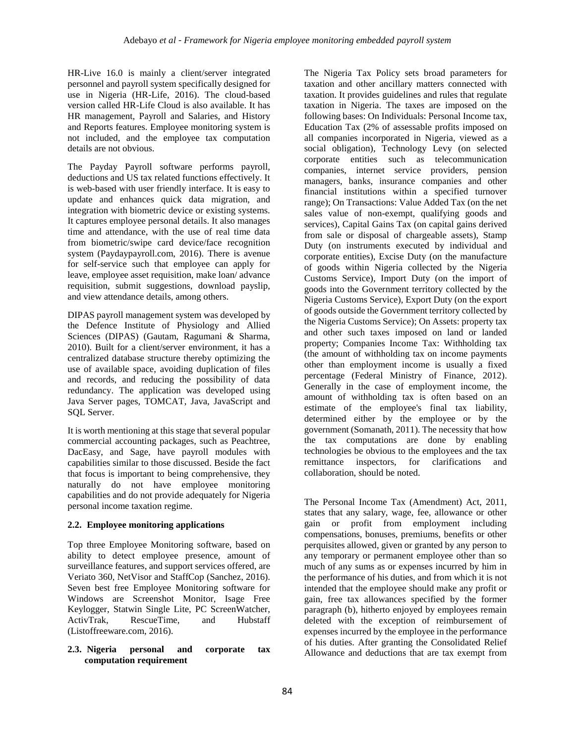HR-Live 16.0 is mainly a client/server integrated personnel and payroll system specifically designed for use in Nigeria (HR-Life, 2016). The cloud-based version called HR-Life Cloud is also available. It has HR management, Payroll and Salaries, and History and Reports features. Employee monitoring system is not included, and the employee tax computation details are not obvious.

The Payday Payroll software performs payroll, deductions and US tax related functions effectively. It is web-based with user friendly interface. It is easy to update and enhances quick data migration, and integration with biometric device or existing systems. It captures employee personal details. It also manages time and attendance, with the use of real time data from biometric/swipe card device/face recognition system (Paydaypayroll.com, 2016). There is avenue for self-service such that employee can apply for leave, employee asset requisition, make loan/ advance requisition, submit suggestions, download payslip, and view attendance details, among others.

DIPAS payroll management system was developed by the Defence Institute of Physiology and Allied Sciences (DIPAS) (Gautam, Ragumani & Sharma, 2010). Built for a client/server environment, it has a centralized database structure thereby optimizing the use of available space, avoiding duplication of files and records, and reducing the possibility of data redundancy. The application was developed using Java Server pages, TOMCAT, Java, JavaScript and SQL Server.

It is worth mentioning at this stage that several popular commercial accounting packages, such as Peachtree, DacEasy, and Sage, have payroll modules with capabilities similar to those discussed. Beside the fact that focus is important to being comprehensive, they naturally do not have employee monitoring capabilities and do not provide adequately for Nigeria personal income taxation regime.

# **2.2. Employee monitoring applications**

Top three Employee Monitoring software, based on ability to detect employee presence, amount of surveillance features, and support services offered, are Veriato 360, NetVisor and StaffCop (Sanchez, 2016). Seven best free Employee Monitoring software for Windows are Screenshot Monitor, Isage Free Keylogger, Statwin Single Lite, PC ScreenWatcher, ActivTrak, RescueTime, and Hubstaff (Listoffreeware.com, 2016).

### **2.3. Nigeria personal and corporate tax computation requirement**

The Nigeria Tax Policy sets broad parameters for taxation and other ancillary matters connected with taxation. It provides guidelines and rules that regulate taxation in Nigeria. The taxes are imposed on the following bases: On Individuals: Personal Income tax, Education Tax (2% of assessable profits imposed on all companies incorporated in Nigeria, viewed as a social obligation), Technology Levy (on selected corporate entities such as telecommunication companies, internet service providers, pension managers, banks, insurance companies and other financial institutions within a specified turnover range); On Transactions: Value Added Tax (on the net sales value of non-exempt, qualifying goods and services), Capital Gains Tax (on capital gains derived from sale or disposal of chargeable assets), Stamp Duty (on instruments executed by individual and corporate entities), Excise Duty (on the manufacture of goods within Nigeria collected by the Nigeria Customs Service), Import Duty (on the import of goods into the Government territory collected by the Nigeria Customs Service), Export Duty (on the export of goods outside the Government territory collected by the Nigeria Customs Service); On Assets: property tax and other such taxes imposed on land or landed property; Companies Income Tax: Withholding tax (the amount of withholding tax on income payments other than employment income is usually a fixed percentage (Federal Ministry of Finance, 2012). Generally in the case of employment income, the amount of withholding tax is often based on an estimate of the employee's final tax liability, determined either by the employee or by the government (Somanath, 2011). The necessity that how the tax computations are done by enabling technologies be obvious to the employees and the tax remittance inspectors, for clarifications and collaboration, should be noted.

The Personal Income Tax (Amendment) Act, 2011, states that any salary, wage, fee, allowance or other gain or profit from employment including compensations, bonuses, premiums, benefits or other perquisites allowed, given or granted by any person to any temporary or permanent employee other than so much of any sums as or expenses incurred by him in the performance of his duties, and from which it is not intended that the employee should make any profit or gain, free tax allowances specified by the former paragraph (b), hitherto enjoyed by employees remain deleted with the exception of reimbursement of expenses incurred by the employee in the performance of his duties. After granting the Consolidated Relief Allowance and deductions that are tax exempt from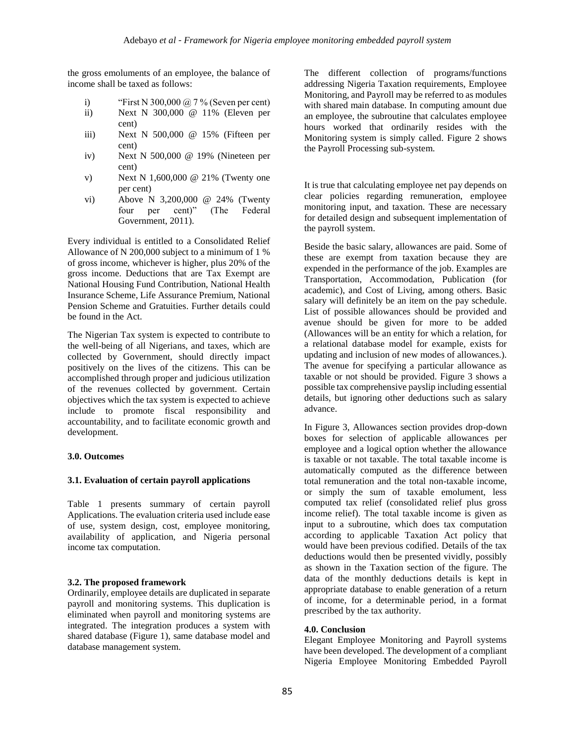the gross emoluments of an employee, the balance of income shall be taxed as follows:

- i) "First N 300,000  $\omega$ , 7 % (Seven per cent)
- ii) Next N 300,000 @ 11% (Eleven per cent)
- iii) Next N 500,000 @ 15% (Fifteen per cent)
- iv) Next N 500,000 @ 19% (Nineteen per cent)
- v) Next N 1,600,000 @ 21% (Twenty one per cent)
- vi) Above N 3,200,000 @ 24% (Twenty four per cent)" (The Federal Government, 2011).

Every individual is entitled to a Consolidated Relief Allowance of N 200,000 subject to a minimum of 1 % of gross income, whichever is higher, plus 20% of the gross income. Deductions that are Tax Exempt are National Housing Fund Contribution, National Health Insurance Scheme, Life Assurance Premium, National Pension Scheme and Gratuities. Further details could be found in the Act.

The Nigerian Tax system is expected to contribute to the well-being of all Nigerians, and taxes, which are collected by Government, should directly impact positively on the lives of the citizens. This can be accomplished through proper and judicious utilization of the revenues collected by government. Certain objectives which the tax system is expected to achieve include to promote fiscal responsibility and accountability, and to facilitate economic growth and development.

# **3.0. Outcomes**

#### **3.1. Evaluation of certain payroll applications**

Table 1 presents summary of certain payroll Applications. The evaluation criteria used include ease of use, system design, cost, employee monitoring, availability of application, and Nigeria personal income tax computation.

# **3.2. The proposed framework**

Ordinarily, employee details are duplicated in separate payroll and monitoring systems. This duplication is eliminated when payroll and monitoring systems are integrated. The integration produces a system with shared database (Figure 1), same database model and database management system.

The different collection of programs/functions addressing Nigeria Taxation requirements, Employee Monitoring, and Payroll may be referred to as modules with shared main database. In computing amount due an employee, the subroutine that calculates employee hours worked that ordinarily resides with the Monitoring system is simply called. Figure 2 shows the Payroll Processing sub-system.

It is true that calculating employee net pay depends on clear policies regarding remuneration, employee monitoring input, and taxation. These are necessary for detailed design and subsequent implementation of the payroll system.

Beside the basic salary, allowances are paid. Some of these are exempt from taxation because they are expended in the performance of the job. Examples are Transportation, Accommodation, Publication (for academic), and Cost of Living, among others. Basic salary will definitely be an item on the pay schedule. List of possible allowances should be provided and avenue should be given for more to be added (Allowances will be an entity for which a relation, for a relational database model for example, exists for updating and inclusion of new modes of allowances.). The avenue for specifying a particular allowance as taxable or not should be provided. Figure 3 shows a possible tax comprehensive payslip including essential details, but ignoring other deductions such as salary advance.

In Figure 3, Allowances section provides drop-down boxes for selection of applicable allowances per employee and a logical option whether the allowance is taxable or not taxable. The total taxable income is automatically computed as the difference between total remuneration and the total non-taxable income, or simply the sum of taxable emolument, less computed tax relief (consolidated relief plus gross income relief). The total taxable income is given as input to a subroutine, which does tax computation according to applicable Taxation Act policy that would have been previous codified. Details of the tax deductions would then be presented vividly, possibly as shown in the Taxation section of the figure. The data of the monthly deductions details is kept in appropriate database to enable generation of a return of income, for a determinable period, in a format prescribed by the tax authority.

### **4.0. Conclusion**

Elegant Employee Monitoring and Payroll systems have been developed. The development of a compliant Nigeria Employee Monitoring Embedded Payroll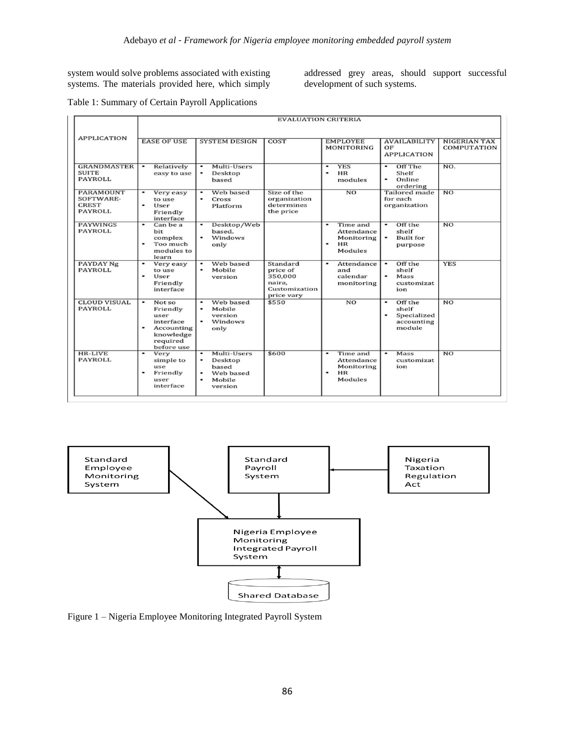system would solve problems associated with existing systems. The materials provided here, which simply

addressed grey areas, should support successful development of such systems.

### Table 1: Summary of Certain Payroll Applications

|                                                                 | <b>EVALUATION CRITERIA</b>                                                                        |                                                                                                  |                                                                          |                                                                                  |                                                                           |                                           |
|-----------------------------------------------------------------|---------------------------------------------------------------------------------------------------|--------------------------------------------------------------------------------------------------|--------------------------------------------------------------------------|----------------------------------------------------------------------------------|---------------------------------------------------------------------------|-------------------------------------------|
| <b>APPLICATION</b>                                              | <b>EASE OF USE</b>                                                                                | <b>SYSTEM DESIGN</b>                                                                             | <b>COST</b>                                                              | <b>EMPLOYEE</b><br><b>MONITORING</b>                                             | <b>AVAILABILITY</b><br>OF<br><b>APPLICATION</b>                           | <b>NIGERIAN TAX</b><br><b>COMPUTATION</b> |
| <b>GRANDMASTER</b><br><b>SUITE</b><br><b>PAYROLL</b>            | Relatively<br>$\bullet$<br>easy to use                                                            | Multi-Users<br>$\bullet$<br>Desktop<br>$\bullet$<br>based                                        |                                                                          | <b>YES</b><br>$\bullet$<br><b>HR</b><br>modules                                  | Off The<br>Shelf<br>Online<br>۰<br>ordering                               | NO.                                       |
| <b>PARAMOUNT</b><br>SOFTWARE-<br><b>CREST</b><br><b>PAYROLL</b> | Very easy<br>to use<br>User<br>Friendly<br>interface                                              | Web based<br>$\bullet$<br>Cross<br>$\bullet$<br>Platform                                         | Size of the<br>organization<br>determines<br>the price                   | $\overline{NO}$                                                                  | <b>Tailored</b> made<br>for each<br>organization                          | N <sub>O</sub>                            |
| <b>PAYWINGS</b><br><b>PAYROLL</b>                               | Can be a<br>bit<br>complex<br>Too much<br>modules to<br>learn                                     | Desktop/Web<br>$\bullet$<br>based.<br>Windows<br>only                                            |                                                                          | Time and<br>٠<br>Attendance<br>Monitoring<br>HR<br><b>Modules</b>                | Off the<br>$\bullet$<br>shelf<br>$\bullet$<br><b>Built</b> for<br>purpose | N <sub>O</sub>                            |
| <b>PAYDAY Ng</b><br><b>PAYROLL</b>                              | Very easy<br>to use<br>User<br>Friendly<br>interface                                              | Web based<br>$\bullet$<br>Mobile<br>version                                                      | Standard<br>price of<br>350,000<br>naira,<br>Customization<br>price vary | Attendance<br>٠<br>and<br>calendar<br>monitoring                                 | Off the<br>$\bullet$<br>shelf<br>Mass<br>customizat<br>ion                | <b>YES</b>                                |
| <b>CLOUD VISUAL</b><br><b>PAYROLL</b>                           | Not so<br>Friendly<br>user<br>interface<br>Accounting<br>٠<br>knowledge<br>required<br>before use | Web based<br>$\bullet$<br>Mobile<br>$\bullet$<br>version<br>$\bullet$<br>Windows<br>only         | \$550                                                                    | N <sub>O</sub>                                                                   | Off the<br>shelf<br>Specialized<br>accounting<br>module                   | N <sub>O</sub>                            |
| <b>HR-LIVE</b><br><b>PAYROLL</b>                                | Very<br>simple to<br>use<br>Friendly<br>user<br>interface                                         | Multi-Users<br>$\bullet$<br>Desktop<br>٠<br>based<br>Web based<br>Mobile<br>$\bullet$<br>version | \$600                                                                    | Time and<br>$\bullet$<br>Attendance<br>Monitoring<br><b>HR</b><br><b>Modules</b> | $\bullet$<br>Mass<br>customizat<br>ion                                    | NO                                        |



Figure 1 – Nigeria Employee Monitoring Integrated Payroll System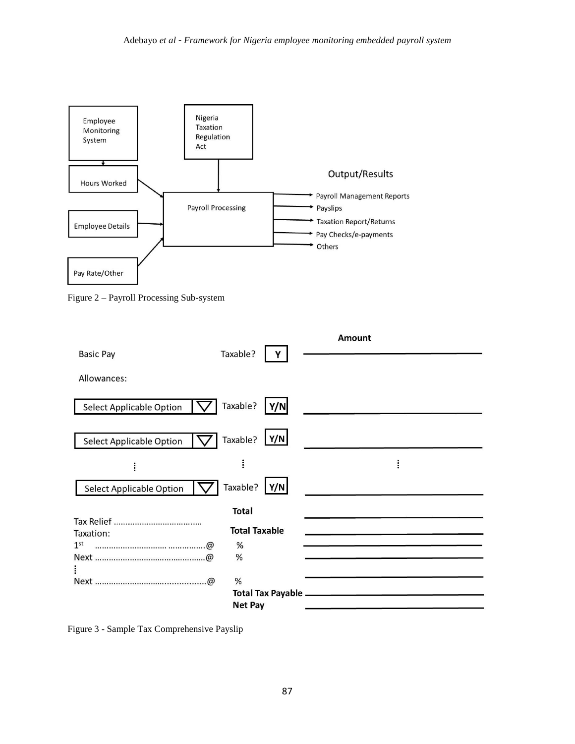

Figure 2 – Payroll Processing Sub-system

|                                 |                      | <b>Amount</b> |
|---------------------------------|----------------------|---------------|
| <b>Basic Pay</b>                | Taxable?             |               |
| Allowances:                     |                      |               |
| <b>Select Applicable Option</b> | Taxable?<br>Y/N      |               |
| <b>Select Applicable Option</b> | Y/N <br>Taxable?     |               |
| $\vdots$                        |                      | ፡             |
| <b>Select Applicable Option</b> | Taxable?<br>Y/N      |               |
|                                 | <b>Total</b>         |               |
|                                 | <b>Total Taxable</b> |               |
| Taxation:                       |                      |               |
| 1 <sup>st</sup>                 | %                    |               |
|                                 | %                    |               |
|                                 |                      |               |
|                                 | %                    |               |
|                                 |                      |               |
|                                 | <b>Net Pay</b>       |               |

Figure 3 - Sample Tax Comprehensive Payslip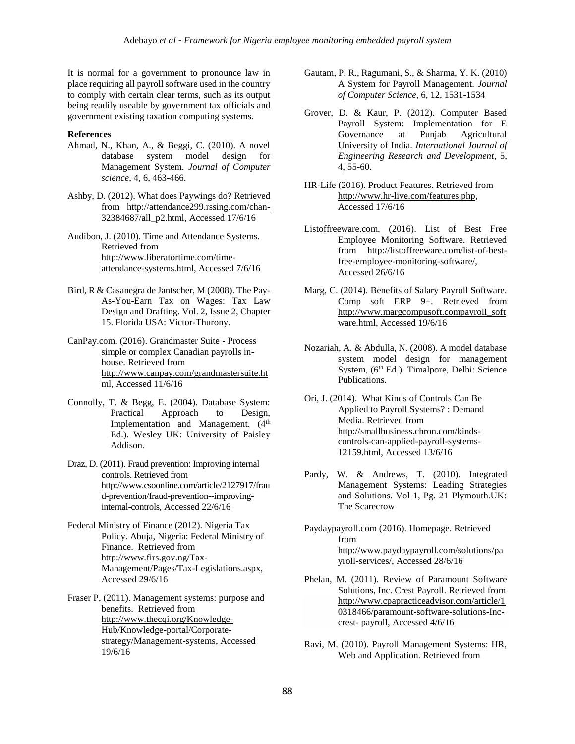It is normal for a government to pronounce law in place requiring all payroll software used in the country to comply with certain clear terms, such as its output being readily useable by government tax officials and government existing taxation computing systems.

#### **References**

- Ahmad, N., Khan, A., & Beggi, C. (2010). A novel database system model design for Management System. *Journal of Computer science*, 4, 6, 463-466.
- Ashby, D. (2012). What does Paywings do? Retrieved from <http://attendance299.rssing.com/chan->32384687/all\_p2.html, Accessed 17/6/16
- Audibon, J. (2010). Time and Attendance Systems. Retrieved from [http://www.liberatortime.com/time](http://www.liberatortime.com/time-)attendance-systems.html, Accessed 7/6/16
- Bird, R & Casanegra de Jantscher, M (2008). The Pay-As-You-Earn Tax on Wages: Tax Law Design and Drafting. Vol. 2, Issue 2, Chapter 15. Florida USA: Victor-Thurony.
- CanPay.com. (2016). Grandmaster Suite Process simple or complex Canadian payrolls inhouse. Retrieved from <http://www.canpay.com/grandmastersuite.ht> ml, Accessed 11/6/16
- Connolly, T. & Begg, E. (2004). Database System: Practical Approach to Design, Implementation and Management. (4<sup>th</sup>) Ed.). Wesley UK: University of Paisley Addison.
- Draz, D. (2011). Fraud prevention: Improving internal controls. Retrieved from <http://www.csoonline.com/article/2127917/frau> d-prevention/fraud-prevention--improvinginternal-controls, Accessed 22/6/16
- Federal Ministry of Finance (2012). Nigeria Tax Policy. Abuja, Nigeria: Federal Ministry of Finance. Retrieved from <http://www.firs.gov.ng/Tax->Management/Pages/Tax-Legislations.aspx, Accessed 29/6/16
- Fraser P, (2011). Management systems: purpose and benefits. Retrieved from <http://www.thecqi.org/Knowledge->Hub/Knowledge-portal/Corporatestrategy/Management-systems, Accessed 19/6/16
- Gautam, P. R., Ragumani, S., & Sharma, Y. K. (2010) A System for Payroll Management. *Journal of Computer Science*, 6, 12, 1531-1534
- Grover, D. & Kaur, P. (2012). Computer Based Payroll System: Implementation for E<br>Governance at Punjab Agricultural at Punjab Agricultural University of India. *International Journal of Engineering Research and Development*, 5, 4, 55-60.
- HR-Life (2016). Product Features. Retrieved from [http://www.hr-live.com/features.php,](http://www.hr-live.com/features.php)  Accessed 17/6/16
- Listoffreeware.com. (2016). List of Best Free Employee Monitoring Software. Retrieved from [http://listoffreeware.com/list-of-best](http://listoffreeware.com/list-of-best-)free-employee-monitoring-software/, Accessed 26/6/16
- Marg, C. (2014). Benefits of Salary Payroll Software. Comp soft ERP 9+. Retrieved from [http://www.margcompusoft.compayroll\\_soft](http://www.margcompusoft.compayroll_soft/) ware.html, Accessed 19/6/16
- Nozariah, A. & Abdulla, N. (2008). A model database system model design for management System, (6<sup>th</sup> Ed.). Timalpore, Delhi: Science Publications.
- Ori, J. (2014). What Kinds of Controls Can Be Applied to Payroll Systems? : Demand Media. Retrieved from [http://smallbusiness.chron.com/kinds](http://smallbusiness.chron.com/kinds-)controls-can-applied-payroll-systems-12159.html, Accessed 13/6/16
- Pardy, W. & Andrews, T. (2010). Integrated Management Systems: Leading Strategies and Solutions. Vol 1, Pg. 21 Plymouth.UK: The Scarecrow
- Paydaypayroll.com (2016). Homepage. Retrieved from <http://www.paydaypayroll.com/solutions/pa> yroll-services/, Accessed 28/6/16
- Phelan, M. (2011). Review of Paramount Software Solutions, Inc. Crest Payroll. Retrieved from <http://www.cpapracticeadvisor.com/article/1> 0318466/paramount-software-solutions-Inccrest- payroll, Accessed 4/6/16
- Ravi, M. (2010). Payroll Management Systems: HR, Web and Application. Retrieved from